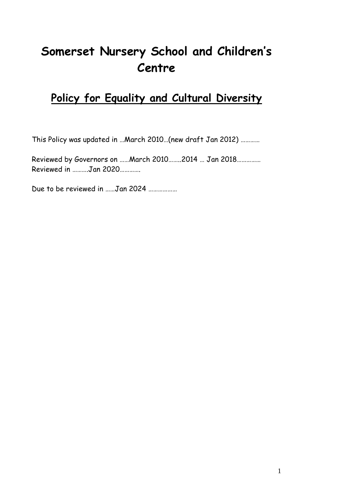# **Somerset Nursery School and Children's Centre**

# **Policy for Equality and Cultural Diversity**

This Policy was updated in …March 2010…(new draft Jan 2012) …………

Reviewed by Governors on ……March 2010……..2014 … Jan 2018…………… Reviewed in ……….Jan 2020………….

Due to be reviewed in ……Jan 2024 ………………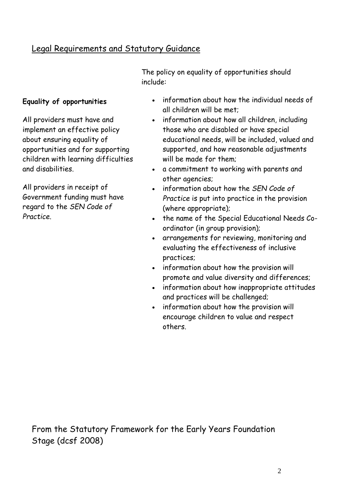#### Legal Requirements and Statutory Guidance

The policy on equality of opportunities should include:

#### **Equality of opportunities**

All providers must have and implement an effective policy about ensuring equality of opportunities and for supporting children with learning difficulties and disabilities.

All providers in receipt of Government funding must have regard to the *SEN Code of Practice*.

- information about how the individual needs of all children will be met;
- information about how all children, including those who are disabled or have special educational needs, will be included, valued and supported, and how reasonable adjustments will be made for them;
- a commitment to working with parents and other agencies;
- information about how the *SEN Code of Practice* is put into practice in the provision (where appropriate);
- the name of the Special Educational Needs Coordinator (in group provision);
- arrangements for reviewing, monitoring and evaluating the effectiveness of inclusive practices;
- information about how the provision will promote and value diversity and differences;
- information about how inappropriate attitudes and practices will be challenged;
- information about how the provision will encourage children to value and respect others.

From the Statutory Framework for the Early Years Foundation Stage (dcsf 2008)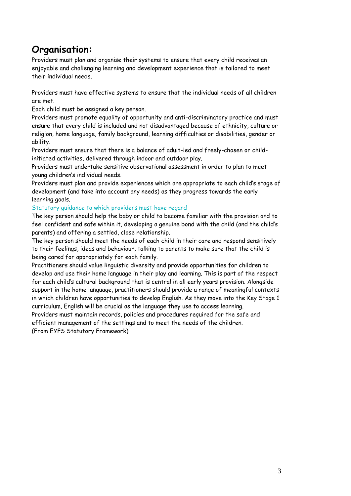#### **Organisation:**

Providers must plan and organise their systems to ensure that every child receives an enjoyable and challenging learning and development experience that is tailored to meet their individual needs.

Providers must have effective systems to ensure that the individual needs of all children are met.

Each child must be assigned a key person.

Providers must promote equality of opportunity and anti-discriminatory practice and must ensure that every child is included and not disadvantaged because of ethnicity, culture or religion, home language, family background, learning difficulties or disabilities, gender or ability.

Providers must ensure that there is a balance of adult-led and freely-chosen or childinitiated activities, delivered through indoor and outdoor play.

Providers must undertake sensitive observational assessment in order to plan to meet young children's individual needs.

Providers must plan and provide experiences which are appropriate to each child's stage of development (and take into account any needs) as they progress towards the early learning goals.

#### Statutory guidance to which providers must have regard

The key person should help the baby or child to become familiar with the provision and to feel confident and safe within it, developing a genuine bond with the child (and the child's parents) and offering a settled, close relationship.

The key person should meet the needs of each child in their care and respond sensitively to their feelings, ideas and behaviour, talking to parents to make sure that the child is being cared for appropriately for each family.

Practitioners should value linguistic diversity and provide opportunities for children to develop and use their home language in their play and learning. This is part of the respect for each child's cultural background that is central in all early years provision. Alongside support in the home language, practitioners should provide a range of meaningful contexts in which children have opportunities to develop English. As they move into the Key Stage 1 curriculum, English will be crucial as the language they use to access learning.

Providers must maintain records, policies and procedures required for the safe and efficient management of the settings and to meet the needs of the children.

(From EYFS Statutory Framework)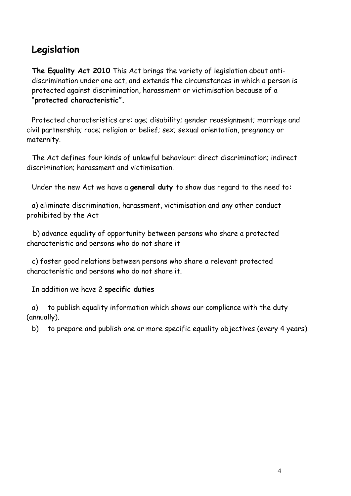#### **Legislation**

**The Equality Act 2010** This Act brings the variety of legislation about antidiscrimination under one act, and extends the circumstances in which a person is protected against discrimination, harassment or victimisation because of a "**protected characteristic".** 

Protected characteristics are: age; disability; gender reassignment; marriage and civil partnership; race; religion or belief; sex; sexual orientation, pregnancy or maternity.

The Act defines four kinds of unlawful behaviour: direct discrimination; indirect discrimination; harassment and victimisation.

Under the new Act we have a **general duty** to show due regard to the need to**:**

a) eliminate discrimination, harassment, victimisation and any other conduct prohibited by the Act

 b) advance equality of opportunity between persons who share a protected characteristic and persons who do not share it

c) foster good relations between persons who share a relevant protected characteristic and persons who do not share it.

In addition we have 2 **specific duties**

a) to publish equality information which shows our compliance with the duty (annually).

b) to prepare and publish one or more specific equality objectives (every 4 years).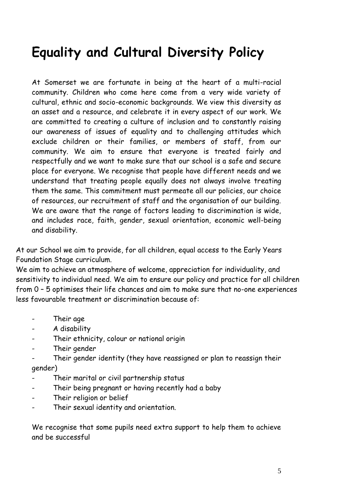# **Equality and Cultural Diversity Policy**

At Somerset we are fortunate in being at the heart of a multi-racial community. Children who come here come from a very wide variety of cultural, ethnic and socio-economic backgrounds. We view this diversity as an asset and a resource, and celebrate it in every aspect of our work. We are committed to creating a culture of inclusion and to constantly raising our awareness of issues of equality and to challenging attitudes which exclude children or their families, or members of staff, from our community. We aim to ensure that everyone is treated fairly and respectfully and we want to make sure that our school is a safe and secure place for everyone. We recognise that people have different needs and we understand that treating people equally does not always involve treating them the same. This commitment must permeate all our policies, our choice of resources, our recruitment of staff and the organisation of our building. We are aware that the range of factors leading to discrimination is wide, and includes race, faith, gender, sexual orientation, economic well-being and disability.

At our School we aim to provide, for all children, equal access to the Early Years Foundation Stage curriculum.

We aim to achieve an atmosphere of welcome, appreciation for individuality, and sensitivity to individual need. We aim to ensure our policy and practice for all children from 0 – 5 optimises their life chances and aim to make sure that no-one experiences less favourable treatment or discrimination because of:

- Their age
- A disability
- Their ethnicity, colour or national origin
- Their gender
- Their gender identity (they have reassigned or plan to reassign their gender)
- Their marital or civil partnership status
- Their being pregnant or having recently had a baby
- Their religion or belief
- Their sexual identity and orientation.

We recognise that some pupils need extra support to help them to achieve and be successful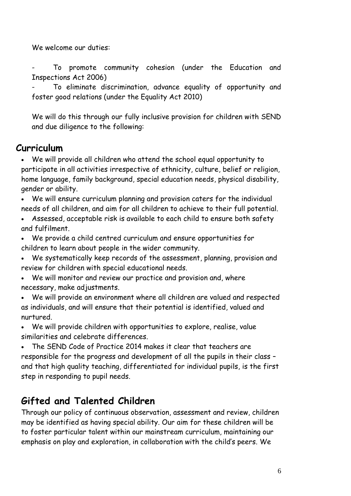We welcome our duties:

To promote community cohesion (under the Education and Inspections Act 2006)

To eliminate discrimination, advance equality of opportunity and foster good relations (under the Equality Act 2010)

We will do this through our fully inclusive provision for children with SEND and due diligence to the following:

#### **Curriculum**

 We will provide all children who attend the school equal opportunity to participate in all activities irrespective of ethnicity, culture, belief or religion, home language, family background, special education needs, physical disability, gender or ability.

 We will ensure curriculum planning and provision caters for the individual needs of all children, and aim for all children to achieve to their full potential.

 Assessed, acceptable risk is available to each child to ensure both safety and fulfilment.

 We provide a child centred curriculum and ensure opportunities for children to learn about people in the wider community.

 We systematically keep records of the assessment, planning, provision and review for children with special educational needs.

- We will monitor and review our practice and provision and, where necessary, make adjustments.
- We will provide an environment where all children are valued and respected as individuals, and will ensure that their potential is identified, valued and nurtured.
- We will provide children with opportunities to explore, realise, value similarities and celebrate differences.
- The SEND Code of Practice 2014 makes it clear that teachers are responsible for the progress and development of all the pupils in their class – and that high quality teaching, differentiated for individual pupils, is the first step in responding to pupil needs.

## **Gifted and Talented Children**

Through our policy of continuous observation, assessment and review, children may be identified as having special ability. Our aim for these children will be to foster particular talent within our mainstream curriculum, maintaining our emphasis on play and exploration, in collaboration with the child's peers. We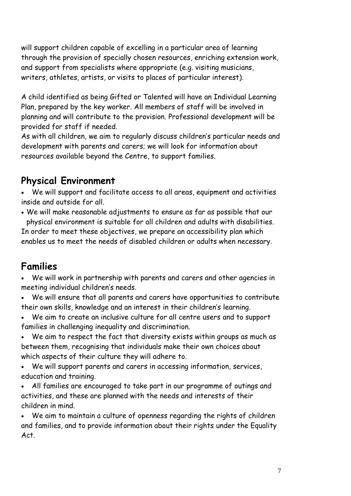will support children capable of excelling in a particular area of learning through the provision of specially chosen resources, enriching extension work, and support from specialists where appropriate (e.g. visiting musicians, writers, athletes, artists, or visits to places of particular interest).

A child identified as being Gifted or Talented will have an Individual Learning Plan, prepared by the key worker. All members of staff will be involved in planning and will contribute to the provision. Professional development will be provided for staff if needed.

As with all children, we aim to regularly discuss children's particular needs and development with parents and carers; we will look for information about resources available beyond the Centre, to support families.

#### **Physical Environment**

 We will support and facilitate access to all areas, equipment and activities inside and outside for all.

 We will make reasonable adjustments to ensure as far as possible that our physical environment is suitable for all children and adults with disabilities.

In order to meet these objectives, we prepare an accessibility plan which enables us to meet the needs of disabled children or adults when necessary.

# **Families**

 We will work in partnership with parents and carers and other agencies in meeting individual children's needs.

 We will ensure that all parents and carers have opportunities to contribute their own skills, knowledge and an interest in their children's learning.

 We aim to create an inclusive culture for all centre users and to support families in challenging inequality and discrimination.

 We aim to respect the fact that diversity exists within groups as much as between them, recognising that individuals make their own choices about which aspects of their culture they will adhere to.

 We will support parents and carers in accessing information, services, education and training.

 All families are encouraged to take part in our programme of outings and activities, and these are planned with the needs and interests of their children in mind.

 We aim to maintain a culture of openness regarding the rights of children and families, and to provide information about their rights under the Equality Act.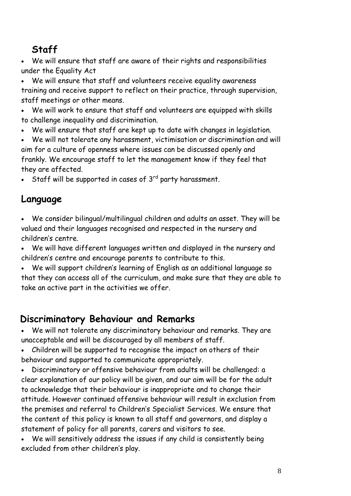# **Staff**

 We will ensure that staff are aware of their rights and responsibilities under the Equality Act

 We will ensure that staff and volunteers receive equality awareness training and receive support to reflect on their practice, through supervision, staff meetings or other means.

 We will work to ensure that staff and volunteers are equipped with skills to challenge inequality and discrimination.

We will ensure that staff are kept up to date with changes in legislation.

 We will not tolerate any harassment, victimisation or discrimination and will aim for a culture of openness where issues can be discussed openly and frankly. We encourage staff to let the management know if they feel that they are affected.

Staff will be supported in cases of 3<sup>rd</sup> party harassment.

## **Language**

 We consider bilingual/multilingual children and adults an asset. They will be valued and their languages recognised and respected in the nursery and children's centre.

 We will have different languages written and displayed in the nursery and children's centre and encourage parents to contribute to this.

 We will support children's learning of English as an additional language so that they can access all of the curriculum, and make sure that they are able to take an active part in the activities we offer.

## **Discriminatory Behaviour and Remarks**

 We will not tolerate any discriminatory behaviour and remarks. They are unacceptable and will be discouraged by all members of staff.

 Children will be supported to recognise the impact on others of their behaviour and supported to communicate appropriately.

 Discriminatory or offensive behaviour from adults will be challenged: a clear explanation of our policy will be given, and our aim will be for the adult to acknowledge that their behaviour is inappropriate and to change their attitude. However continued offensive behaviour will result in exclusion from the premises and referral to Children's Specialist Services. We ensure that the content of this policy is known to all staff and governors, and display a statement of policy for all parents, carers and visitors to see.

 We will sensitively address the issues if any child is consistently being excluded from other children's play.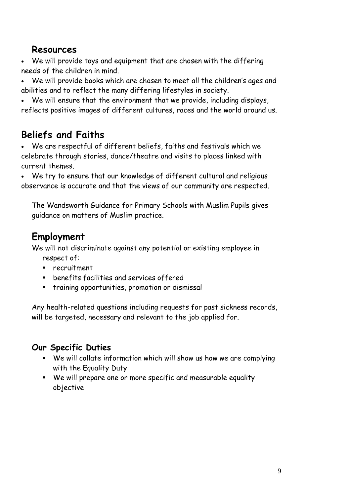#### **Resources**

 We will provide toys and equipment that are chosen with the differing needs of the children in mind.

 We will provide books which are chosen to meet all the children's ages and abilities and to reflect the many differing lifestyles in society.

We will ensure that the environment that we provide, including displays, reflects positive images of different cultures, races and the world around us.

# **Beliefs and Faiths**

 We are respectful of different beliefs, faiths and festivals which we celebrate through stories, dance/theatre and visits to places linked with current themes.

 We try to ensure that our knowledge of different cultural and religious observance is accurate and that the views of our community are respected.

The Wandsworth Guidance for Primary Schools with Muslim Pupils gives guidance on matters of Muslim practice.

## **Employment**

We will not discriminate against any potential or existing employee in respect of:

- **P** recruitment
- benefits facilities and services offered
- training opportunities, promotion or dismissal

Any health-related questions including requests for past sickness records, will be targeted, necessary and relevant to the job applied for.

#### **Our Specific Duties**

- We will collate information which will show us how we are complying with the Equality Duty
- We will prepare one or more specific and measurable equality objective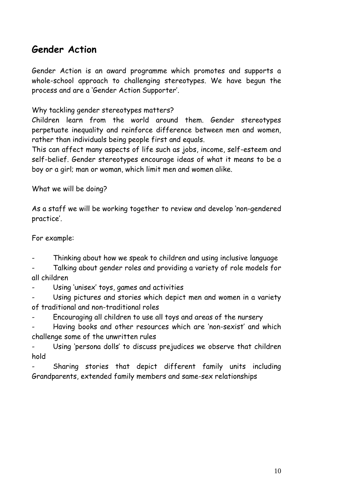#### **Gender Action**

Gender Action is an award programme which promotes and supports a whole-school approach to challenging stereotypes. We have begun the process and are a 'Gender Action Supporter'.

Why tackling gender stereotypes matters?

Children learn from the world around them. Gender stereotypes perpetuate inequality and reinforce difference between men and women, rather than individuals being people first and equals.

This can affect many aspects of life such as jobs, income, self-esteem and self-belief. Gender stereotypes encourage ideas of what it means to be a boy or a girl; man or woman, which limit men and women alike.

What we will be doing?

As a staff we will be working together to review and develop 'non-gendered practice'.

For example:

Thinking about how we speak to children and using inclusive language

Talking about gender roles and providing a variety of role models for all children

Using 'unisex' toys, games and activities

Using pictures and stories which depict men and women in a variety of traditional and non-traditional roles

Encouraging all children to use all toys and areas of the nursery

Having books and other resources which are 'non-sexist' and which challenge some of the unwritten rules

Using 'persona dolls' to discuss prejudices we observe that children hold

Sharing stories that depict different family units including Grandparents, extended family members and same-sex relationships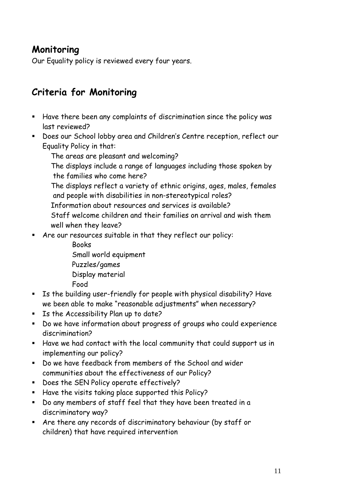#### **Monitoring**

Our Equality policy is reviewed every four years.

## **Criteria for Monitoring**

- Have there been any complaints of discrimination since the policy was last reviewed?
- Does our School lobby area and Children's Centre reception, reflect our Equality Policy in that:
	- The areas are pleasant and welcoming?
	- The displays include a range of languages including those spoken by the families who come here?
	- The displays reflect a variety of ethnic origins, ages, males, females and people with disabilities in non-stereotypical roles?
	- Information about resources and services is available?
	- Staff welcome children and their families on arrival and wish them well when they leave?
- Are our resources suitable in that they reflect our policy:
	- Books Small world equipment Puzzles/games Display material Food
- Is the building user-friendly for people with physical disability? Have we been able to make "reasonable adjustments" when necessary?
- Is the Accessibility Plan up to date?
- Do we have information about progress of groups who could experience discrimination?
- Have we had contact with the local community that could support us in implementing our policy?
- Do we have feedback from members of the School and wider communities about the effectiveness of our Policy?
- **Does the SEN Policy operate effectively?**
- Have the visits taking place supported this Policy?
- Do any members of staff feel that they have been treated in a discriminatory way?
- Are there any records of discriminatory behaviour (by staff or children) that have required intervention